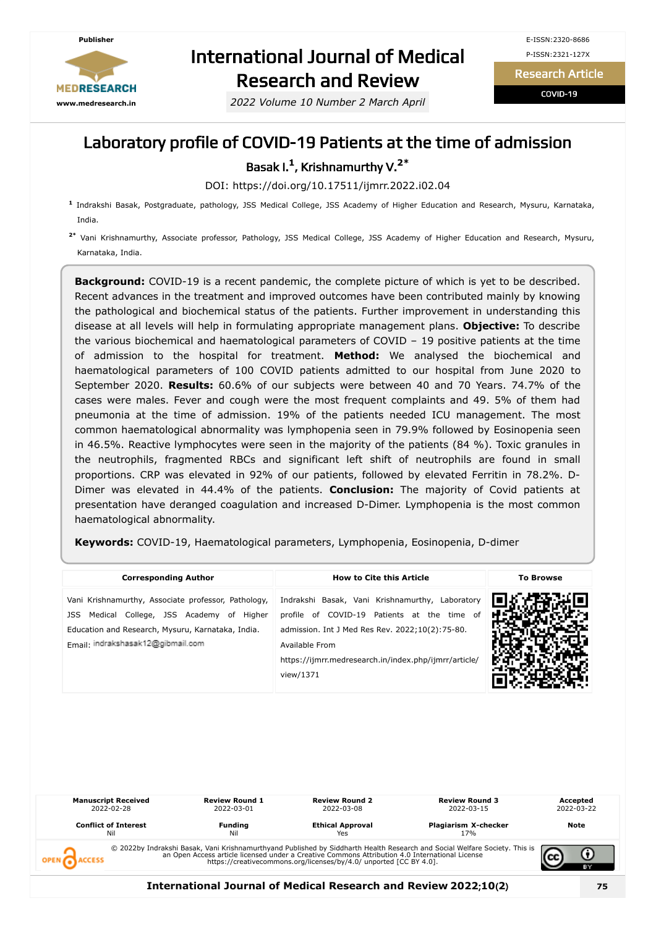

# International Journal of Medical Research and Review

*2022 Volume 10 Number 2 March April*

Research Article

COVID-19

### Laboratory profile of COVID-19 Patients at the time of admission

#### Basak I. **1** , Krishnamurthy V. **2\***

DOI: https://doi.org/10.17511/ijmrr.2022.i02.04

- **1** Indrakshi Basak, Postgraduate, pathology, JSS Medical College, JSS Academy of Higher Education and Research, Mysuru, Karnataka, India.
- **2\*** Vani Krishnamurthy, Associate professor, Pathology, JSS Medical College, JSS Academy of Higher Education and Research, Mysuru, Karnataka, India.

**Background:** COVID-19 is a recent pandemic, the complete picture of which is yet to be described. Recent advances in the treatment and improved outcomes have been contributed mainly by knowing the pathological and biochemical status of the patients. Further improvement in understanding this disease at all levels will help in formulating appropriate management plans. **Objective:** To describe the various biochemical and haematological parameters of COVID – 19 positive patients at the time of admission to the hospital for treatment. **Method:** We analysed the biochemical and haematological parameters of 100 COVID patients admitted to our hospital from June 2020 to September 2020. **Results:** 60.6% of our subjects were between 40 and 70 Years. 74.7% of the cases were males. Fever and cough were the most frequent complaints and 49. 5% of them had pneumonia at the time of admission. 19% of the patients needed ICU management. The most common haematological abnormality was lymphopenia seen in 79.9% followed by Eosinopenia seen in 46.5%. Reactive lymphocytes were seen in the majority of the patients (84 %). Toxic granules in the neutrophils, fragmented RBCs and significant left shift of neutrophils are found in small proportions. CRP was elevated in 92% of our patients, followed by elevated Ferritin in 78.2%. D-Dimer was elevated in 44.4% of the patients. **Conclusion:** The majority of Covid patients at presentation have deranged coagulation and increased D-Dimer. Lymphopenia is the most common haematological abnormality.

**Keywords:** COVID-19, Haematological parameters, Lymphopenia, Eosinopenia, D-dimer

| <b>Corresponding Author</b>                                                                                                                                                                        | <b>How to Cite this Article</b>                                                                                                                                                                                                           | <b>To Browse</b> |  |
|----------------------------------------------------------------------------------------------------------------------------------------------------------------------------------------------------|-------------------------------------------------------------------------------------------------------------------------------------------------------------------------------------------------------------------------------------------|------------------|--|
| Vani Krishnamurthy, Associate professor, Pathology,<br>Medical College, JSS Academy of<br>Hiaher<br>JSS.<br>Education and Research, Mysuru, Karnataka, India.<br>Email: indrakshasak12@gibmail.com | Indrakshi Basak, Vani Krishnamurthy, Laboratory<br>profile of COVID-19 Patients at the time of<br>admission. Int J Med Res Rev. 2022;10(2):75-80.<br>Available From<br>https://ijmrr.medresearch.in/index.php/ijmrr/article/<br>view/1371 |                  |  |

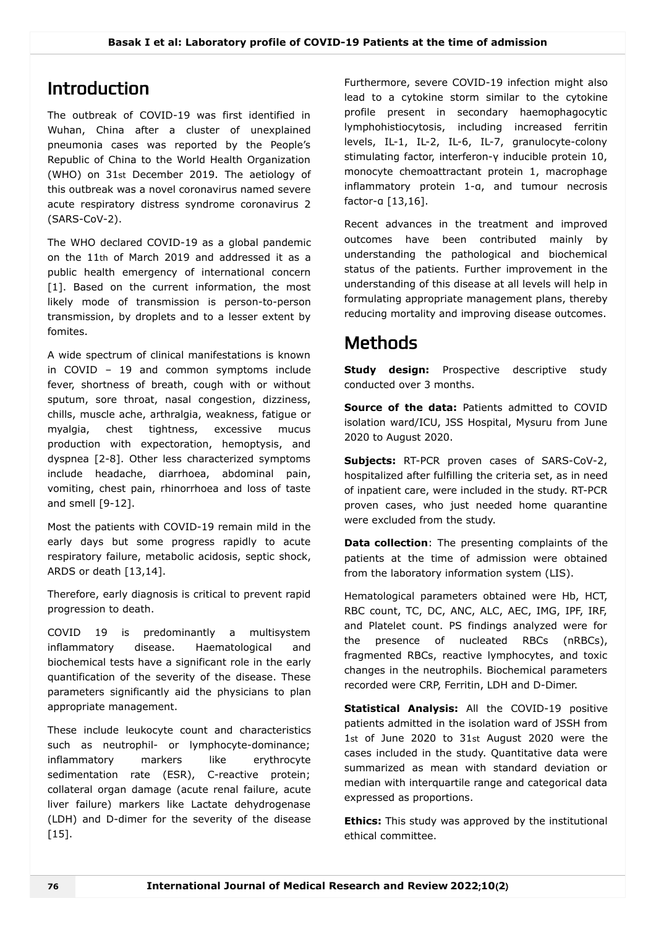## Introduction

The outbreak of COVID-19 was first identified in Wuhan, China after a cluster of unexplained pneumonia cases was reported by the People's Republic of China to the World Health Organization (WHO) on 31st December 2019. The aetiology of this outbreak was a novel coronavirus named severe acute respiratory distress syndrome coronavirus 2 (SARS-CoV-2).

The WHO declared COVID-19 as a global pandemic on the 11th of March 2019 and addressed it as a public health emergency of international concern [1]. Based on the current information, the most likely mode of transmission is person-to-person transmission, by droplets and to a lesser extent by fomites.

A wide spectrum of clinical manifestations is known in COVID – 19 and common symptoms include fever, shortness of breath, cough with or without sputum, sore throat, nasal congestion, dizziness, chills, muscle ache, arthralgia, weakness, fatigue or myalgia, chest tightness, excessive mucus production with expectoration, hemoptysis, and dyspnea [2-8]. Other less characterized symptoms include headache, diarrhoea, abdominal pain, vomiting, chest pain, rhinorrhoea and loss of taste and smell [9-12].

Most the patients with COVID-19 remain mild in the early days but some progress rapidly to acute respiratory failure, metabolic acidosis, septic shock, ARDS or death [13,14].

Therefore, early diagnosis is critical to prevent rapid progression to death.

COVID 19 is predominantly a multisystem inflammatory disease. Haematological and biochemical tests have a significant role in the early quantification of the severity of the disease. These parameters significantly aid the physicians to plan appropriate management.

These include leukocyte count and characteristics such as neutrophil- or lymphocyte-dominance; inflammatory markers like erythrocyte sedimentation rate (ESR), C-reactive protein; collateral organ damage (acute renal failure, acute liver failure) markers like Lactate dehydrogenase (LDH) and D-dimer for the severity of the disease  $[15]$ .

Furthermore, severe COVID-19 infection might also lead to a cytokine storm similar to the cytokine profile present in secondary haemophagocytic lymphohistiocytosis, including increased ferritin levels, IL-1, IL-2, IL-6, IL-7, granulocyte-colony stimulating factor, interferon-γ inducible protein 10, monocyte chemoattractant protein 1, macrophage inflammatory protein 1-α, and tumour necrosis factor-α [13,16].

Recent advances in the treatment and improved outcomes have been contributed mainly by understanding the pathological and biochemical status of the patients. Further improvement in the understanding of this disease at all levels will help in formulating appropriate management plans, thereby reducing mortality and improving disease outcomes.

# Methods

**Study design:** Prospective descriptive study conducted over 3 months.

**Source of the data:** Patients admitted to COVID isolation ward/ICU, JSS Hospital, Mysuru from June 2020 to August 2020.

**Subjects:** RT-PCR proven cases of SARS-CoV-2, hospitalized after fulfilling the criteria set, as in need of inpatient care, were included in the study. RT-PCR proven cases, who just needed home quarantine were excluded from the study.

**Data collection**: The presenting complaints of the patients at the time of admission were obtained from the laboratory information system (LIS).

Hematological parameters obtained were Hb, HCT, RBC count, TC, DC, ANC, ALC, AEC, IMG, IPF, IRF, and Platelet count. PS findings analyzed were for the presence of nucleated RBCs (nRBCs), fragmented RBCs, reactive lymphocytes, and toxic changes in the neutrophils. Biochemical parameters recorded were CRP, Ferritin, LDH and D-Dimer.

**Statistical Analysis:** All the COVID-19 positive patients admitted in the isolation ward of JSSH from 1st of June 2020 to 31st August 2020 were the cases included in the study. Quantitative data were summarized as mean with standard deviation or median with interquartile range and categorical data expressed as proportions.

**Ethics:** This study was approved by the institutional ethical committee.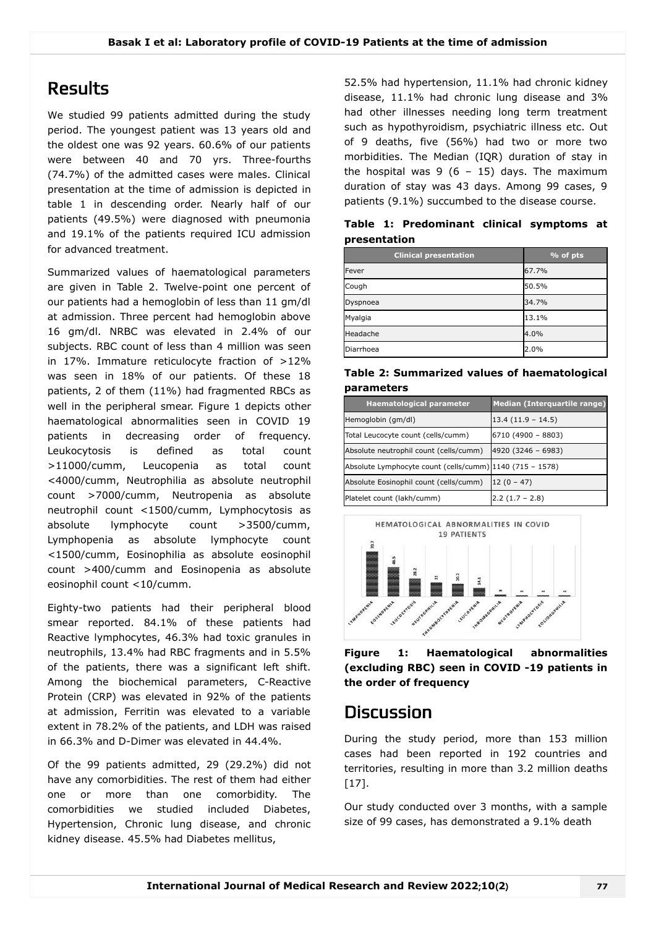### Results

We studied 99 patients admitted during the study period. The youngest patient was 13 years old and the oldest one was 92 years. 60.6% of our patients were between 40 and 70 yrs. Three-fourths (74.7%) of the admitted cases were males. Clinical presentation at the time of admission is depicted in table 1 in descending order. Nearly half of our patients (49.5%) were diagnosed with pneumonia and 19.1% of the patients required ICU admission for advanced treatment.

Summarized values of haematological parameters are given in Table 2. Twelve-point one percent of our patients had a hemoglobin of less than 11 gm/dl at admission. Three percent had hemoglobin above 16 gm/dl. NRBC was elevated in 2.4% of our subjects. RBC count of less than 4 million was seen in 17%. Immature reticulocyte fraction of >12% was seen in 18% of our patients. Of these 18 patients, 2 of them (11%) had fragmented RBCs as well in the peripheral smear. Figure 1 depicts other haematological abnormalities seen in COVID 19 patients in decreasing order of frequency. Leukocytosis is defined as total count >11000/cumm, Leucopenia as total count <4000/cumm, Neutrophilia as absolute neutrophil count >7000/cumm, Neutropenia as absolute neutrophil count <1500/cumm, Lymphocytosis as absolute lymphocyte count >3500/cumm, Lymphopenia as absolute lymphocyte count <1500/cumm, Eosinophilia as absolute eosinophil count >400/cumm and Eosinopenia as absolute eosinophil count <10/cumm.

Eighty-two patients had their peripheral blood smear reported. 84.1% of these patients had Reactive lymphocytes, 46.3% had toxic granules in neutrophils, 13.4% had RBC fragments and in 5.5% of the patients, there was a significant left shift. Among the biochemical parameters, C-Reactive Protein (CRP) was elevated in 92% of the patients at admission, Ferritin was elevated to a variable extent in 78.2% of the patients, and LDH was raised in 66.3% and D-Dimer was elevated in 44.4%.

Of the 99 patients admitted, 29 (29.2%) did not have any comorbidities. The rest of them had either one or more than one comorbidity. The comorbidities we studied included Diabetes, Hypertension, Chronic lung disease, and chronic kidney disease. 45.5% had Diabetes mellitus,

52.5% had hypertension, 11.1% had chronic kidney disease, 11.1% had chronic lung disease and 3% had other illnesses needing long term treatment such as hypothyroidism, psychiatric illness etc. Out of 9 deaths, five (56%) had two or more two morbidities. The Median (IQR) duration of stay in the hospital was  $9(6 - 15)$  days. The maximum duration of stay was 43 days. Among 99 cases, 9 patients (9.1%) succumbed to the disease course.

|              | Table 1: Predominant clinical symptoms at |  |  |
|--------------|-------------------------------------------|--|--|
| presentation |                                           |  |  |

| <b>Clinical presentation</b> | $%$ of pts |
|------------------------------|------------|
| Fever                        | 67.7%      |
| Cough                        | 50.5%      |
| Dyspnoea                     | 34.7%      |
| Myalgia                      | 13.1%      |
| Headache                     | 4.0%       |
| Diarrhoea                    | 2.0%       |

|            |  |  | Table 2: Summarized values of haematological |
|------------|--|--|----------------------------------------------|
| parameters |  |  |                                              |

| <b>Haematological parameter</b>                          | Median (Interquartile range) |
|----------------------------------------------------------|------------------------------|
| Hemoglobin (gm/dl)                                       | $13.4(11.9 - 14.5)$          |
| Total Leucocyte count (cells/cumm)                       | $6710(4900 - 8803)$          |
| Absolute neutrophil count (cells/cumm)                   | 4920 (3246 - 6983)           |
| Absolute Lymphocyte count (cells/cumm) 1140 (715 - 1578) |                              |
| Absolute Eosinophil count (cells/cumm)                   | $12(0 - 47)$                 |
| Platelet count (lakh/cumm)                               | $2.2(1.7 - 2.8)$             |





#### **Discussion**

During the study period, more than 153 million cases had been reported in 192 countries and territories, resulting in more than 3.2 million deaths  $[17]$ .

Our study conducted over 3 months, with a sample size of 99 cases, has demonstrated a 9.1% death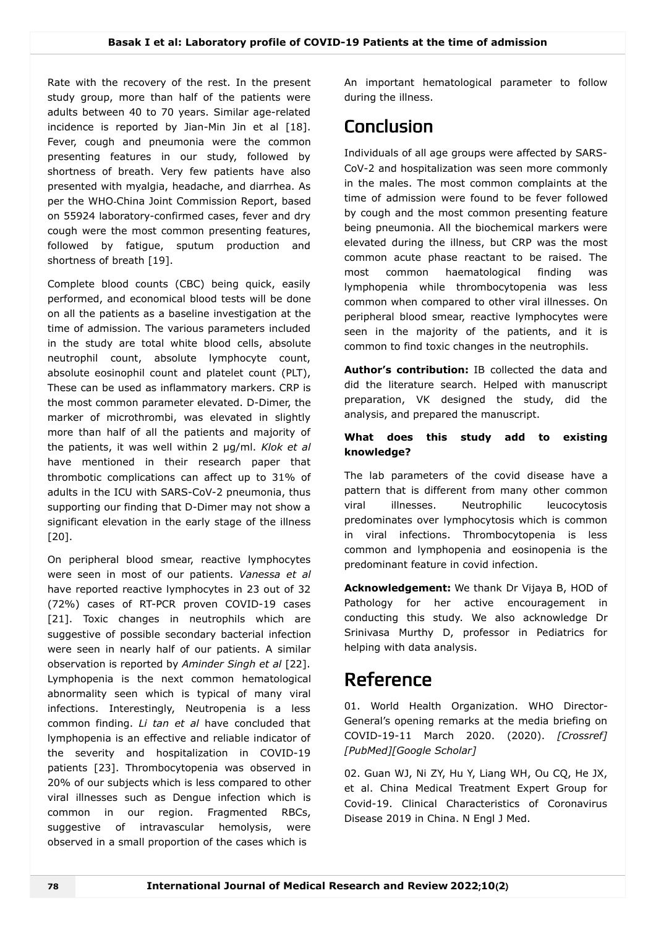Rate with the recovery of the rest. In the present study group, more than half of the patients were adults between 40 to 70 years. Similar age-related incidence is reported by Jian-Min Jin et al [18]. Fever, cough and pneumonia were the common presenting features in our study, followed by shortness of breath. Very few patients have also presented with myalgia, headache, and diarrhea. As per the WHO‑China Joint Commission Report, based on 55924 laboratory-confirmed cases, fever and dry cough were the most common presenting features, followed by fatigue, sputum production and shortness of breath [19].

Complete blood counts (CBC) being quick, easily performed, and economical blood tests will be done on all the patients as a baseline investigation at the time of admission. The various parameters included in the study are total white blood cells, absolute neutrophil count, absolute lymphocyte count, absolute eosinophil count and platelet count (PLT), These can be used as inflammatory markers. CRP is the most common parameter elevated. D-Dimer, the marker of microthrombi, was elevated in slightly more than half of all the patients and majority of the patients, it was well within 2 µg/ml. *Klok et al* have mentioned in their research paper that thrombotic complications can affect up to 31% of adults in the ICU with SARS-CoV-2 pneumonia, thus supporting our finding that D-Dimer may not show a significant elevation in the early stage of the illness [20].

On peripheral blood smear, reactive lymphocytes were seen in most of our patients. *Vanessa et al* have reported reactive lymphocytes in 23 out of 32 (72%) cases of RT-PCR proven COVID-19 cases [21]. Toxic changes in neutrophils which are suggestive of possible secondary bacterial infection were seen in nearly half of our patients. A similar observation is reported by *Aminder Singh et al* [22]. Lymphopenia is the next common hematological abnormality seen which is typical of many viral infections. Interestingly, Neutropenia is a less common finding. *Li tan et al* have concluded that lymphopenia is an effective and reliable indicator of the severity and hospitalization in COVID-19 patients [23]. Thrombocytopenia was observed in 20% of our subjects which is less compared to other viral illnesses such as Dengue infection which is common in our region. Fragmented RBCs, suggestive of intravascular hemolysis, were observed in a small proportion of the cases which is

An important hematological parameter to follow during the illness.

## Conclusion

Individuals of all age groups were affected by SARS-CoV-2 and hospitalization was seen more commonly in the males. The most common complaints at the time of admission were found to be fever followed by cough and the most common presenting feature being pneumonia. All the biochemical markers were elevated during the illness, but CRP was the most common acute phase reactant to be raised. The most common haematological finding was lymphopenia while thrombocytopenia was less common when compared to other viral illnesses. On peripheral blood smear, reactive lymphocytes were seen in the majority of the patients, and it is common to find toxic changes in the neutrophils.

**Author's contribution:** IB collected the data and did the literature search. Helped with manuscript preparation, VK designed the study, did the analysis, and prepared the manuscript.

#### **What does this study add to existing knowledge?**

The lab parameters of the covid disease have a pattern that is different from many other common viral illnesses. Neutrophilic leucocytosis predominates over lymphocytosis which is common in viral infections. Thrombocytopenia is less common and lymphopenia and eosinopenia is the predominant feature in covid infection.

**Acknowledgement:** We thank Dr Vijaya B, HOD of Pathology for her active encouragement in conducting this study. We also acknowledge Dr Srinivasa Murthy D, professor in Pediatrics for helping with data analysis.

## Reference

01. World Health Organization. WHO Director-General's opening remarks at the media briefing on COVID-19-11 March 2020. (2020). *[\[Crossref](https://search.crossref.org/?type-name=Journal+Article&q=WHO%20Director-General%E2%80%99s%20opening%20remarks%20at%20the%20media%20briefing%20on%20COVID-19-11%20March%202020)] [[PubMed\]](https://www.ncbi.nlm.nih.gov/pubmed/?term=WHO%20Director-General%E2%80%99s%20opening%20remarks%20at%20the%20media%20briefing%20on%20COVID-19-11%20March%202020)[\[Google Scholar](https://scholar.google.com/scholar_lookup?title=WHO%20Director-General%E2%80%99s%20opening%20remarks%20at%20the%20media%20briefing%20on%20COVID-19-11%20March%202020)]*

02. Guan WJ, Ni ZY, Hu Y, Liang WH, Ou CQ, He JX, et al. China Medical Treatment Expert Group for Covid-19. Clinical Characteristics of Coronavirus Disease 2019 in China. N Engl J Med.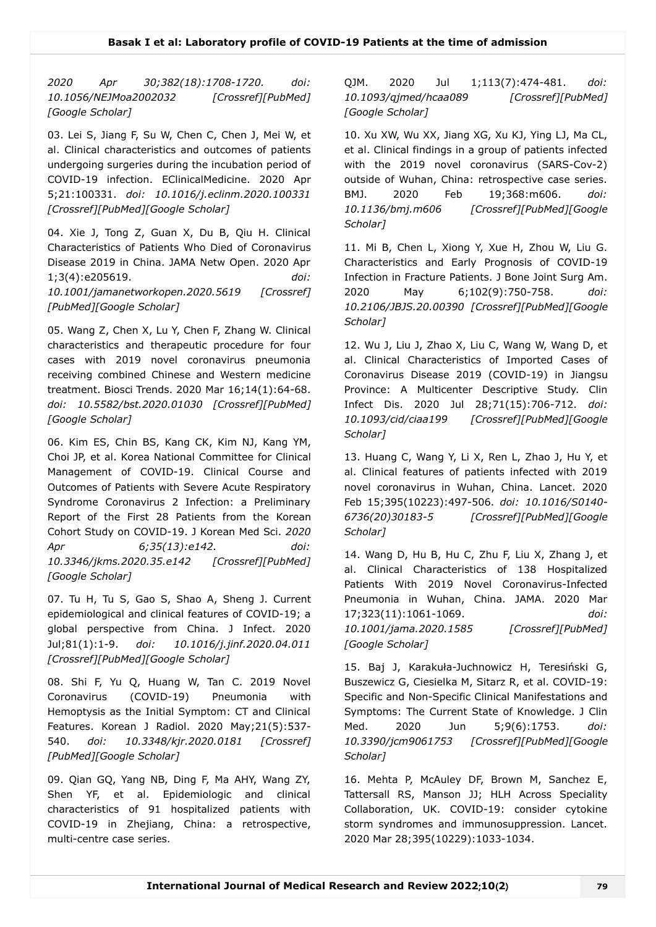*2020 Apr 30;382(18):1708-1720. doi: 10.1056/NEJMoa2002032 [\[Crossref](https://doi.org/10.1056/NEJMoa2002032)][\[PubMed\]](https://www.ncbi.nlm.nih.gov/pubmed/?term=China%20Medical%20Treatment%20Expert%20Group%20for%20Covid-19) [\[Google Scholar\]](https://scholar.google.com/scholar_lookup?title=China%20Medical%20Treatment%20Expert%20Group%20for%20Covid-19)*

03. Lei S, Jiang F, Su W, Chen C, Chen J, Mei W, et al. Clinical characteristics and outcomes of patients undergoing surgeries during the incubation period of COVID-19 infection. EClinicalMedicine. 2020 Apr 5;21:100331. *doi: 10.1016/j.eclinm.2020.100331 [\[Crossref\]](https://doi.org/10.1016/j.eclinm.2020.100331)[[PubMed\]](https://www.ncbi.nlm.nih.gov/pubmed/?term=Clinical%20characteristics%20and%20outcomes%20of%20patients%20undergoing%20surgeries%20during%20the%20incubation%20period%20of%20COVID-19%20infection)[\[Google Scholar](https://scholar.google.com/scholar_lookup?title=Clinical%20characteristics%20and%20outcomes%20of%20patients%20undergoing%20surgeries%20during%20the%20incubation%20period%20of%20COVID-19%20infection)]*

04. Xie J, Tong Z, Guan X, Du B, Qiu H. Clinical Characteristics of Patients Who Died of Coronavirus Disease 2019 in China. JAMA Netw Open. 2020 Apr 1;3(4):e205619. *doi: 10.1001/jamanetworkopen.2020.5619 [[Crossref](https://doi.org/10.1001/jamanetworkopen.2020.5619)] [\[PubMed\]](https://www.ncbi.nlm.nih.gov/pubmed/?term=Clinical%20Characteristics%20of%20Patients%20Who%20Died%20of%20Coronavirus%20Disease%202019%20in%20China)[[Google Scholar\]](https://scholar.google.com/scholar_lookup?title=Clinical%20Characteristics%20of%20Patients%20Who%20Died%20of%20Coronavirus%20Disease%202019%20in%20China)*

05. Wang Z, Chen X, Lu Y, Chen F, Zhang W. Clinical characteristics and therapeutic procedure for four cases with 2019 novel coronavirus pneumonia receiving combined Chinese and Western medicine treatment. Biosci Trends. 2020 Mar 16;14(1):64-68. *doi: 10.5582/bst.2020.01030 [\[Crossref\]](https://doi.org/10.5582/bst.2020.01030)[\[PubMed](https://www.ncbi.nlm.nih.gov/pubmed/?term=Clinical%20characteristics%20and%20therapeutic%20procedure%20for%20four%20cases%20with%202019%20novel%20coronavirus%20pneumonia%20receiving%20combined%20Chinese%20and%20Western%20medicine%20treatment)] [\[Google Scholar\]](https://scholar.google.com/scholar_lookup?title=Clinical%20characteristics%20and%20therapeutic%20procedure%20for%20four%20cases%20with%202019%20novel%20coronavirus%20pneumonia%20receiving%20combined%20Chinese%20and%20Western%20medicine%20treatment)*

06. Kim ES, Chin BS, Kang CK, Kim NJ, Kang YM, Choi JP, et al. Korea National Committee for Clinical Management of COVID-19. Clinical Course and Outcomes of Patients with Severe Acute Respiratory Syndrome Coronavirus 2 Infection: a Preliminary Report of the First 28 Patients from the Korean Cohort Study on COVID-19. J Korean Med Sci. *2020 Apr 6;35(13):e142. doi: 10.3346/jkms.2020.35.e142 [\[Crossref](https://doi.org/10.3346/jkms.2020.35.e142)][\[PubMed\]](https://www.ncbi.nlm.nih.gov/pubmed/?term=Korea%20National%20Committee%20for%20Clinical%20Management%20of%20COVID-19) [\[Google Scholar\]](https://scholar.google.com/scholar_lookup?title=Korea%20National%20Committee%20for%20Clinical%20Management%20of%20COVID-19)*

07. Tu H, Tu S, Gao S, Shao A, Sheng J. Current epidemiological and clinical features of COVID-19; a global perspective from China. J Infect. 2020 Jul;81(1):1-9. *doi: 10.1016/j.jinf.2020.04.011 [\[Crossref\]](https://doi.org/10.1016/j.jinf.2020.04.011)[[PubMed\]](https://www.ncbi.nlm.nih.gov/pubmed/?term=Current%20epidemiological%20and%20clinical%20features%20of%20COVID-19;%20a%20global%20perspective%20from%20China)[\[Google Scholar](https://scholar.google.com/scholar_lookup?title=Current%20epidemiological%20and%20clinical%20features%20of%20COVID-19;%20a%20global%20perspective%20from%20China)]*

08. Shi F, Yu Q, Huang W, Tan C. 2019 Novel Coronavirus (COVID-19) Pneumonia with Hemoptysis as the Initial Symptom: CT and Clinical Features. Korean J Radiol. 2020 May;21(5):537- 540. *doi: 10.3348/kjr.2020.0181 [[Crossref](https://doi.org/10.3348/kjr.2020.0181)] [\[PubMed\]](https://www.ncbi.nlm.nih.gov/pubmed/?term=2019%20Novel%20Coronavirus%20(COVID-19)%20Pneumonia%20with%20Hemoptysis%20as%20the%20Initial%20Symptom:%20CT%20and%20Clinical%20Features)[[Google Scholar\]](https://scholar.google.com/scholar_lookup?title=2019%20Novel%20Coronavirus%20(COVID-19)%20Pneumonia%20with%20Hemoptysis%20as%20the%20Initial%20Symptom:%20CT%20and%20Clinical%20Features)*

09. Qian GQ, Yang NB, Ding F, Ma AHY, Wang ZY, Shen YF, et al. Epidemiologic and clinical characteristics of 91 hospitalized patients with COVID-19 in Zhejiang, China: a retrospective, multi-centre case series.

QJM. 2020 Jul 1;113(7):474-481. *doi: 10.1093/qjmed/hcaa089 [[Crossref](https://doi.org/10.1093/qjmed/hcaa089)][\[PubMed\]](https://www.ncbi.nlm.nih.gov/pubmed/?term=Epidemiologic%20and%20clinical%20characteristics%20of%2091%20hospitalized%20patients%20with%20COVID-19%20in%20Zhejiang,%20China:%20a%20retrospective,%20multi-centre%20case%20series) [[Google Scholar\]](https://scholar.google.com/scholar_lookup?title=Epidemiologic%20and%20clinical%20characteristics%20of%2091%20hospitalized%20patients%20with%20COVID-19%20in%20Zhejiang,%20China:%20a%20retrospective,%20multi-centre%20case%20series)*

10. Xu XW, Wu XX, Jiang XG, Xu KJ, Ying LJ, Ma CL, et al. Clinical findings in a group of patients infected with the 2019 novel coronavirus (SARS-Cov-2) outside of Wuhan, China: retrospective case series. BMJ. 2020 Feb 19;368:m606. *doi: [10.1136/bmj.m606 \[](https://scholar.google.com/scholar_lookup?title=Clinical%20findings%20in%20a%20group%20of%20patients%20infected%20with%20the%202019%20novel%20coronavirus%20(SARS-Cov-2)%20outside%20of%20Wuhan,%20China:%20retrospective%20case%20series)[Crossref](https://doi.org/10.1136/bmj.m606)[\]\[P](https://scholar.google.com/scholar_lookup?title=Clinical%20findings%20in%20a%20group%20of%20patients%20infected%20with%20the%202019%20novel%20coronavirus%20(SARS-Cov-2)%20outside%20of%20Wuhan,%20China:%20retrospective%20case%20series)[ubMe](https://www.ncbi.nlm.nih.gov/pubmed/?term=Clinical%20findings%20in%20a%20group%20of%20patients%20infected%20with%20the%202019%20novel%20coronavirus%20(SARS-Cov-2)%20outside%20of%20Wuhan,%20China:%20retrospective%20case%20series)[d\]\[Google](https://scholar.google.com/scholar_lookup?title=Clinical%20findings%20in%20a%20group%20of%20patients%20infected%20with%20the%202019%20novel%20coronavirus%20(SARS-Cov-2)%20outside%20of%20Wuhan,%20China:%20retrospective%20case%20series) Scholar]*

11. Mi B, Chen L, Xiong Y, Xue H, Zhou W, Liu G. Characteristics and Early Prognosis of COVID-19 Infection in Fracture Patients. J Bone Joint Surg Am. 2020 May 6;102(9):750-758. *doi: [10.2106/JBJS.20.00390 \[](https://scholar.google.com/scholar_lookup?title=Characteristics%20and%20Early%20Prognosis%20of%20COVID-19%20Infection%20in%20Fracture%20Patients)[Crossref](https://doi.org/10.2106/JBJS.20.00390)[\]\[](https://scholar.google.com/scholar_lookup?title=Characteristics%20and%20Early%20Prognosis%20of%20COVID-19%20Infection%20in%20Fracture%20Patients)[PubMe](https://www.ncbi.nlm.nih.gov/pubmed/?term=Characteristics%20and%20Early%20Prognosis%20of%20COVID-19%20Infection%20in%20Fracture%20Patients)[d\]\[Google](https://scholar.google.com/scholar_lookup?title=Characteristics%20and%20Early%20Prognosis%20of%20COVID-19%20Infection%20in%20Fracture%20Patients) Scholar]*

12. Wu J, Liu J, Zhao X, Liu C, Wang W, Wang D, et al. Clinical Characteristics of Imported Cases of Coronavirus Disease 2019 (COVID-19) in Jiangsu Province: A Multicenter Descriptive Study. Clin Infect Dis. 2020 Jul 28;71(15):706-712. *doi: [10.1093/cid/ciaa199 \[](https://scholar.google.com/scholar_lookup?title=Clinical%20Characteristics%20of%20Imported%20Cases%20of%20Coronavirus%20Disease%202019%20(COVID-19)%20in%20Jiangsu%20Province:%20A%20Multicenter%20Descriptive%20Study)[Crossref](https://doi.org/10.1093/cid/ciaa199)[\]\[P](https://scholar.google.com/scholar_lookup?title=Clinical%20Characteristics%20of%20Imported%20Cases%20of%20Coronavirus%20Disease%202019%20(COVID-19)%20in%20Jiangsu%20Province:%20A%20Multicenter%20Descriptive%20Study)[ubMe](https://www.ncbi.nlm.nih.gov/pubmed/?term=Clinical%20Characteristics%20of%20Imported%20Cases%20of%20Coronavirus%20Disease%202019%20(COVID-19)%20in%20Jiangsu%20Province:%20A%20Multicenter%20Descriptive%20Study)[d\]\[Google](https://scholar.google.com/scholar_lookup?title=Clinical%20Characteristics%20of%20Imported%20Cases%20of%20Coronavirus%20Disease%202019%20(COVID-19)%20in%20Jiangsu%20Province:%20A%20Multicenter%20Descriptive%20Study) Scholar]*

13. Huang C, Wang Y, Li X, Ren L, Zhao J, Hu Y, et al. Clinical features of patients infected with 2019 novel coronavirus in Wuhan, China. Lancet. 2020 Feb 15;395(10223):497-506. *doi: 10.1016/S0140- [6736\(20\)30183-5 \[](https://scholar.google.com/scholar_lookup?title=Clinical%20features%20of%20patients%20infected%20with%202019%20novel%20coronavirus%20in%20Wuhan,%20China)[Crossref](https://doi.org/10.1016/S0140-6736(20)30183-5)[\]\[P](https://scholar.google.com/scholar_lookup?title=Clinical%20features%20of%20patients%20infected%20with%202019%20novel%20coronavirus%20in%20Wuhan,%20China)[ubMe](https://www.ncbi.nlm.nih.gov/pubmed/?term=Clinical%20features%20of%20patients%20infected%20with%202019%20novel%20coronavirus%20in%20Wuhan,%20China)[d\]\[Google](https://scholar.google.com/scholar_lookup?title=Clinical%20features%20of%20patients%20infected%20with%202019%20novel%20coronavirus%20in%20Wuhan,%20China) Scholar]*

14. Wang D, Hu B, Hu C, Zhu F, Liu X, Zhang J, et al. Clinical Characteristics of 138 Hospitalized Patients With 2019 Novel Coronavirus-Infected Pneumonia in Wuhan, China. JAMA. 2020 Mar 17;323(11):1061-1069. *doi: 10.1001/jama.2020.1585 [[Crossref](https://doi.org/10.1001/jama.2020.1585)][[PubMed](https://www.ncbi.nlm.nih.gov/pubmed/?term=Clinical%20Characteristics%20of%20138%20Hospitalized%20Patients%20With%202019%20Novel%20Coronavirus-Infected%20Pneumonia%20in%20Wuhan,%20China)] [[Google Scholar\]](https://scholar.google.com/scholar_lookup?title=Clinical%20Characteristics%20of%20138%20Hospitalized%20Patients%20With%202019%20Novel%20Coronavirus-Infected%20Pneumonia%20in%20Wuhan,%20China)*

15. Baj J, Karakuła-Juchnowicz H, Teresiński G, Buszewicz G, Ciesielka M, Sitarz R, et al. COVID-19: Specific and Non-Specific Clinical Manifestations and Symptoms: The Current State of Knowledge. J Clin Med. 2020 Jun 5;9(6):1753. *doi: [10.3390/jcm9061753 \[](https://scholar.google.com/scholar_lookup?title=COVID-19:%20Specific%20and%20Non-Specific%20Clinical%20Manifestations%20and%20Symptoms:%20The%20Current%20State%20of%20Knowledge)[Crossref](https://doi.org/10.3390/jcm9061753)[\]\[](https://scholar.google.com/scholar_lookup?title=COVID-19:%20Specific%20and%20Non-Specific%20Clinical%20Manifestations%20and%20Symptoms:%20The%20Current%20State%20of%20Knowledge)[PubMe](https://www.ncbi.nlm.nih.gov/pubmed/?term=COVID-19:%20Specific%20and%20Non-Specific%20Clinical%20Manifestations%20and%20Symptoms:%20The%20Current%20State%20of%20Knowledge)[d\]\[Google](https://scholar.google.com/scholar_lookup?title=COVID-19:%20Specific%20and%20Non-Specific%20Clinical%20Manifestations%20and%20Symptoms:%20The%20Current%20State%20of%20Knowledge) Scholar]*

16. Mehta P, McAuley DF, Brown M, Sanchez E, Tattersall RS, Manson JJ; HLH Across Speciality Collaboration, UK. COVID-19: consider cytokine storm syndromes and immunosuppression. Lancet. 2020 Mar 28;395(10229):1033-1034.